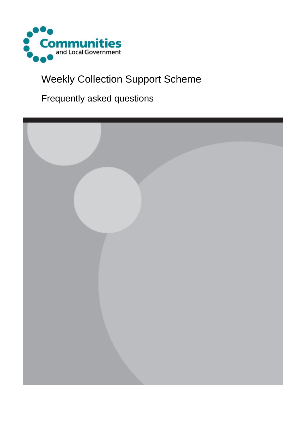

# Weekly Collection Support Scheme

Frequently asked questions

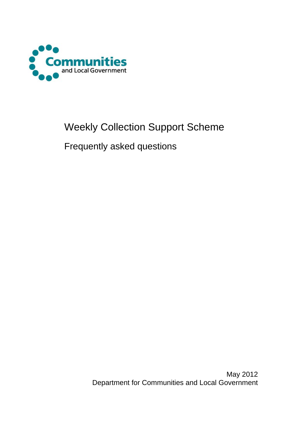

# Weekly Collection Support Scheme

Frequently asked questions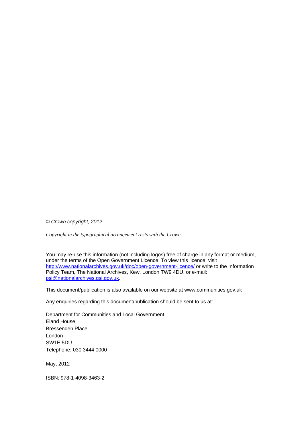*© Crown copyright, 2012* 

*Copyright in the typographical arrangement rests with the Crown.*

You may re-use this information (not including logos) free of charge in any format or medium, under the terms of the Open Government Licence. To view this licence, visit <http://www.nationalarchives.gov.uk/doc/open-government-licence/> or write to the Information Policy Team, The National Archives, Kew, London TW9 4DU, or e-mail: [psi@nationalarchives.gsi.gov.uk.](mailto:psi@nationalarchives.gsi.gov.uk)

This document/publication is also available on our website at www.communities.gov.uk

Any enquiries regarding this document/publication should be sent to us at:

Department for Communities and Local Government Eland House Bressenden Place London SW1E 5DU Telephone: 030 3444 0000

May, 2012

ISBN: 978-1-4098-3463-2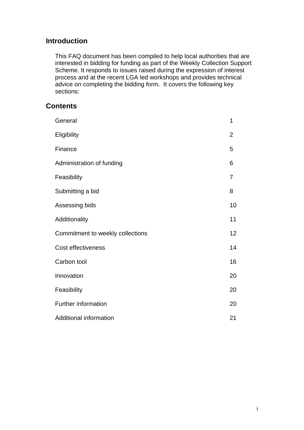# **Introduction**

This FAQ document has been compiled to help local authorities that are interested in bidding for funding as part of the Weekly Collection Support Scheme. It responds to issues raised during the expression of interest process and at the recent LGA led workshops and provides technical advice on completing the bidding form. It covers the following key sections:

# **Contents**

| General                          | 1              |
|----------------------------------|----------------|
| Eligibility                      | $\overline{2}$ |
| Finance                          | 5              |
| Administration of funding        | 6              |
| Feasibility                      | $\overline{7}$ |
| Submitting a bid                 | 8              |
| Assessing bids                   | 10             |
| Additionality                    | 11             |
| Commitment to weekly collections | 12             |
| Cost effectiveness               | 14             |
| Carbon tool                      | 16             |
| Innovation                       | 20             |
| Feasibility                      | 20             |
| <b>Further information</b>       | 20             |
| Additional information           | 21             |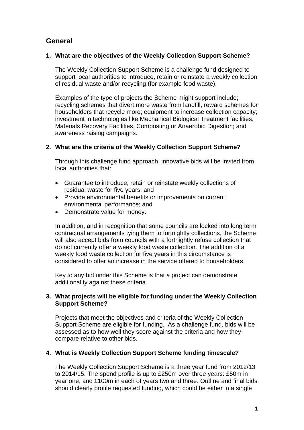# **General**

# **1. What are the objectives of the Weekly Collection Support Scheme?**

The Weekly Collection Support Scheme is a challenge fund designed to support local authorities to introduce, retain or reinstate a weekly collection of residual waste and/or recycling (for example food waste).

Examples of the type of projects the Scheme might support include; recycling schemes that divert more waste from landfill; reward schemes for householders that recycle more; equipment to increase collection capacity; investment in technologies like Mechanical Biological Treatment facilities, Materials Recovery Facilities, Composting or Anaerobic Digestion; and awareness raising campaigns.

# **2. What are the criteria of the Weekly Collection Support Scheme?**

Through this challenge fund approach, innovative bids will be invited from local authorities that:

- Guarantee to introduce, retain or reinstate weekly collections of residual waste for five years; and
- Provide environmental benefits or improvements on current environmental performance; and
- Demonstrate value for money.

In addition, and in recognition that some councils are locked into long term contractual arrangements tying them to fortnightly collections, the Scheme will also accept bids from councils with a fortnightly refuse collection that do not currently offer a weekly food waste collection. The addition of a weekly food waste collection for five years in this circumstance is considered to offer an increase in the service offered to householders.

Key to any bid under this Scheme is that a project can demonstrate additionality against these criteria.

# **3. What projects will be eligible for funding under the Weekly Collection Support Scheme?**

Projects that meet the objectives and criteria of the Weekly Collection Support Scheme are eligible for funding. As a challenge fund, bids will be assessed as to how well they score against the criteria and how they compare relative to other bids.

# **4. What is Weekly Collection Support Scheme funding timescale?**

The Weekly Collection Support Scheme is a three year fund from 2012/13 to 2014/15. The spend profile is up to £250m over three years: £50m in year one, and £100m in each of years two and three. Outline and final bids should clearly profile requested funding, which could be either in a single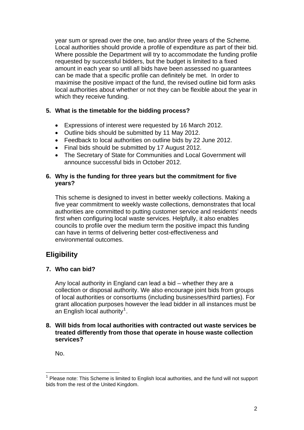year sum or spread over the one, two and/or three years of the Scheme. Local authorities should provide a profile of expenditure as part of their bid. Where possible the Department will try to accommodate the funding profile requested by successful bidders, but the budget is limited to a fixed amount in each year so until all bids have been assessed no guarantees can be made that a specific profile can definitely be met. In order to maximise the positive impact of the fund, the revised outline bid form asks local authorities about whether or not they can be flexible about the year in which they receive funding.

# **5. What is the timetable for the bidding process?**

- Expressions of interest were requested by 16 March 2012.
- Outline bids should be submitted by 11 May 2012.
- Feedback to local authorities on outline bids by 22 June 2012.
- Final bids should be submitted by 17 August 2012.
- The Secretary of State for Communities and Local Government will announce successful bids in October 2012.

# **6. Why is the funding for three years but the commitment for five years?**

This scheme is designed to invest in better weekly collections. Making a five year commitment to weekly waste collections, demonstrates that local authorities are committed to putting customer service and residents' needs first when configuring local waste services. Helpfully, it also enables councils to profile over the medium term the positive impact this funding can have in terms of delivering better cost-effectiveness and environmental outcomes.

# **Eligibility**

# **7. Who can bid?**

Any local authority in England can lead a bid – whether they are a collection or disposal authority. We also encourage joint bids from groups of local authorities or consortiums (including businesses/third parties). For grant allocation purposes however the lead bidder in all instances must be an English local authority<sup>[1](#page-5-0)</sup>.

# **8. Will bids from local authorities with contracted out waste services be treated differently from those that operate in house waste collection services?**

No.

1

<span id="page-5-0"></span> $<sup>1</sup>$  Please note: This Scheme is limited to English local authorities, and the fund will not support</sup> bids from the rest of the United Kingdom.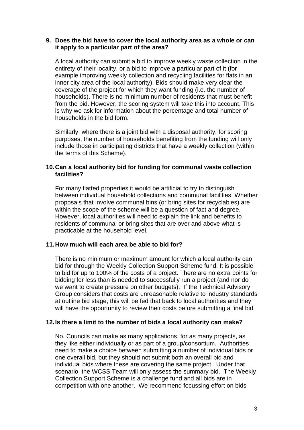### **9. Does the bid have to cover the local authority area as a whole or can it apply to a particular part of the area?**

A local authority can submit a bid to improve weekly waste collection in the entirety of their locality, or a bid to improve a particular part of it (for example improving weekly collection and recycling facilities for flats in an inner city area of the local authority). Bids should make very clear the coverage of the project for which they want funding (i.e. the number of households). There is no minimum number of residents that must benefit from the bid. However, the scoring system will take this into account. This is why we ask for information about the percentage and total number of households in the bid form.

Similarly, where there is a joint bid with a disposal authority, for scoring purposes, the number of households benefiting from the funding will only include those in participating districts that have a weekly collection (within the terms of this Scheme).

# **10. Can a local authority bid for funding for communal waste collection facilities?**

For many flatted properties it would be artificial to try to distinguish between individual household collections and communal facilities. Whether proposals that involve communal bins (or bring sites for recyclables) are within the scope of the scheme will be a question of fact and degree. However, local authorities will need to explain the link and benefits to residents of communal or bring sites that are over and above what is practicable at the household level.

# **11. How much will each area be able to bid for?**

There is no minimum or maximum amount for which a local authority can bid for through the Weekly Collection Support Scheme fund. It is possible to bid for up to 100% of the costs of a project. There are no extra points for bidding for less than is needed to successfully run a project (and nor do we want to create pressure on other budgets). If the Technical Advisory Group considers that costs are unreasonable relative to industry standards at outline bid stage, this will be fed that back to local authorities and they will have the opportunity to review their costs before submitting a final bid.

#### **12. Is there a limit to the number of bids a local authority can make?**

No. Councils can make as many applications, for as many projects, as they like either individually or as part of a group/consortium. Authorities need to make a choice between submitting a number of individual bids or one overall bid, but they should not submit both an overall bid and individual bids where these are covering the same project. Under that scenario, the WCSS Team will only assess the summary bid. The Weekly Collection Support Scheme is a challenge fund and all bids are in competition with one another. We recommend focussing effort on bids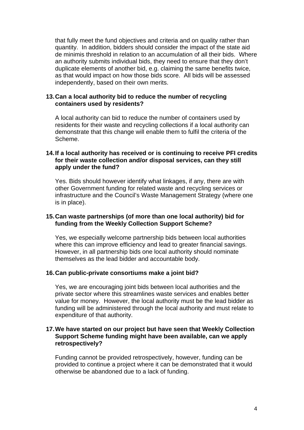that fully meet the fund objectives and criteria and on quality rather than quantity. In addition, bidders should consider the impact of the state aid de minimis threshold in relation to an accumulation of all their bids. Where an authority submits individual bids, they need to ensure that they don't duplicate elements of another bid, e.g. claiming the same benefits twice, as that would impact on how those bids score. All bids will be assessed independently, based on their own merits.

# **13. Can a local authority bid to reduce the number of recycling containers used by residents?**

A local authority can bid to reduce the number of containers used by residents for their waste and recycling collections if a local authority can demonstrate that this change will enable them to fulfil the criteria of the Scheme.

# **14. If a local authority has received or is continuing to receive PFI credits for their waste collection and/or disposal services, can they still apply under the fund?**

Yes. Bids should however identify what linkages, if any, there are with other Government funding for related waste and recycling services or infrastructure and the Council's Waste Management Strategy (where one is in place).

# **15. Can waste partnerships (of more than one local authority) bid for funding from the Weekly Collection Support Scheme?**

Yes, we especially welcome partnership bids between local authorities where this can improve efficiency and lead to greater financial savings. However, in all partnership bids one local authority should nominate themselves as the lead bidder and accountable body.

#### **16. Can public-private consortiums make a joint bid?**

Yes, we are encouraging joint bids between local authorities and the private sector where this streamlines waste services and enables better value for money. However, the local authority must be the lead bidder as funding will be administered through the local authority and must relate to expenditure of that authority.

## **17. We have started on our project but have seen that Weekly Collection Support Scheme funding might have been available, can we apply retrospectively?**

Funding cannot be provided retrospectively, however, funding can be provided to continue a project where it can be demonstrated that it would otherwise be abandoned due to a lack of funding.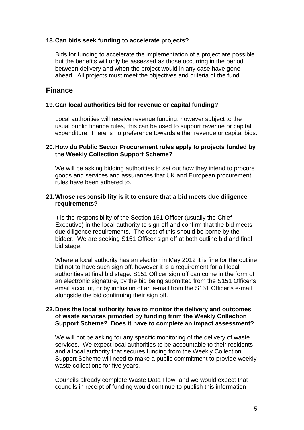# **18. Can bids seek funding to accelerate projects?**

Bids for funding to accelerate the implementation of a project are possible but the benefits will only be assessed as those occurring in the period between delivery and when the project would in any case have gone ahead. All projects must meet the objectives and criteria of the fund.

# **Finance**

## **19. Can local authorities bid for revenue or capital funding?**

Local authorities will receive revenue funding, however subject to the usual public finance rules, this can be used to support revenue or capital expenditure. There is no preference towards either revenue or capital bids.

# **20. How do Public Sector Procurement rules apply to projects funded by the Weekly Collection Support Scheme?**

We will be asking bidding authorities to set out how they intend to procure goods and services and assurances that UK and European procurement rules have been adhered to.

## **21. Whose responsibility is it to ensure that a bid meets due diligence requirements?**

It is the responsibility of the Section 151 Officer (usually the Chief Executive) in the local authority to sign off and confirm that the bid meets due diligence requirements. The cost of this should be borne by the bidder. We are seeking S151 Officer sign off at both outline bid and final bid stage.

Where a local authority has an election in May 2012 it is fine for the outline bid not to have such sign off, however it is a requirement for all local authorities at final bid stage. S151 Officer sign off can come in the form of an electronic signature, by the bid being submitted from the S151 Officer's email account, or by inclusion of an e-mail from the S151 Officer's e-mail alongside the bid confirming their sign off.

#### **22. Does the local authority have to monitor the delivery and outcomes of waste services provided by funding from the Weekly Collection Support Scheme? Does it have to complete an impact assessment?**

We will not be asking for any specific monitoring of the delivery of waste services. We expect local authorities to be accountable to their residents and a local authority that secures funding from the Weekly Collection Support Scheme will need to make a public commitment to provide weekly waste collections for five years.

Councils already complete Waste Data Flow, and we would expect that councils in receipt of funding would continue to publish this information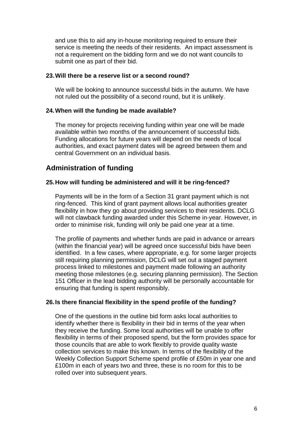and use this to aid any in-house monitoring required to ensure their service is meeting the needs of their residents. An impact assessment is not a requirement on the bidding form and we do not want councils to submit one as part of their bid.

# **23. Will there be a reserve list or a second round?**

We will be looking to announce successful bids in the autumn. We have not ruled out the possibility of a second round, but it is unlikely.

# **24. When will the funding be made available?**

The money for projects receiving funding within year one will be made available within two months of the announcement of successful bids. Funding allocations for future years will depend on the needs of local authorities, and exact payment dates will be agreed between them and central Government on an individual basis.

# **Administration of funding**

# **25. How will funding be administered and will it be ring-fenced?**

Payments will be in the form of a Section 31 grant payment which is not ring-fenced. This kind of grant payment allows local authorities greater flexibility in how they go about providing services to their residents. DCLG will not clawback funding awarded under this Scheme in-year. However, in order to minimise risk, funding will only be paid one year at a time.

The profile of payments and whether funds are paid in advance or arrears (within the financial year) will be agreed once successful bids have been identified. In a few cases, where appropriate, e.g. for some larger projects still requiring planning permission, DCLG will set out a staged payment process linked to milestones and payment made following an authority meeting those milestones (e.g. securing planning permission). The Section 151 Officer in the lead bidding authority will be personally accountable for ensuring that funding is spent responsibly.

# **26. Is there financial flexibility in the spend profile of the funding?**

One of the questions in the outline bid form asks local authorities to identify whether there is flexibility in their bid in terms of the year when they receive the funding. Some local authorities will be unable to offer flexibility in terms of their proposed spend, but the form provides space for those councils that are able to work flexibly to provide quality waste collection services to make this known. In terms of the flexibility of the Weekly Collection Support Scheme spend profile of £50m in year one and £100m in each of years two and three, these is no room for this to be rolled over into subsequent years.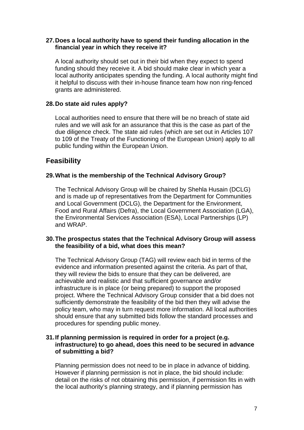# **27. Does a local authority have to spend their funding allocation in the financial year in which they receive it?**

A local authority should set out in their bid when they expect to spend funding should they receive it. A bid should make clear in which year a local authority anticipates spending the funding. A local authority might find it helpful to discuss with their in-house finance team how non ring-fenced grants are administered.

# **28. Do state aid rules apply?**

Local authorities need to ensure that there will be no breach of state aid rules and we will ask for an assurance that this is the case as part of the due diligence check. The state aid rules (which are set out in Articles 107 to 109 of the Treaty of the Functioning of the European Union) apply to all public funding within the European Union.

# **Feasibility**

# **29. What is the membership of the Technical Advisory Group?**

The Technical Advisory Group will be chaired by Shehla Husain (DCLG) and is made up of representatives from the Department for Communities and Local Government (DCLG), the Department for the Environment, Food and Rural Affairs (Defra), the Local Government Association (LGA), the Environmental Services Association (ESA), Local Partnerships (LP) and WRAP.

# **30. The prospectus states that the Technical Advisory Group will assess the feasibility of a bid, what does this mean?**

The Technical Advisory Group (TAG) will review each bid in terms of the evidence and information presented against the criteria. As part of that, they will review the bids to ensure that they can be delivered, are achievable and realistic and that sufficient governance and/or infrastructure is in place (or being prepared) to support the proposed project. Where the Technical Advisory Group consider that a bid does not sufficiently demonstrate the feasibility of the bid then they will advise the policy team, who may in turn request more information. All local authorities should ensure that any submitted bids follow the standard processes and procedures for spending public money.

# **31. If planning permission is required in order for a project (e.g. infrastructure) to go ahead, does this need to be secured in advance of submitting a bid?**

Planning permission does not need to be in place in advance of bidding. However if planning permission is not in place, the bid should include: detail on the risks of not obtaining this permission, if permission fits in with the local authority's planning strategy, and if planning permission has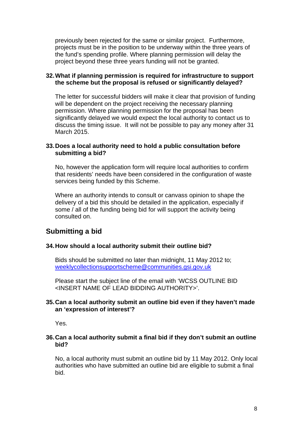previously been rejected for the same or similar project. Furthermore, projects must be in the position to be underway within the three years of the fund's spending profile. Where planning permission will delay the project beyond these three years funding will not be granted.

# **32. What if planning permission is required for infrastructure to support the scheme but the proposal is refused or significantly delayed?**

The letter for successful bidders will make it clear that provision of funding will be dependent on the project receiving the necessary planning permission. Where planning permission for the proposal has been significantly delayed we would expect the local authority to contact us to discuss the timing issue. It will not be possible to pay any money after 31 March 2015.

# **33. Does a local authority need to hold a public consultation before submitting a bid?**

No, however the application form will require local authorities to confirm that residents' needs have been considered in the configuration of waste services being funded by this Scheme.

Where an authority intends to consult or canvass opinion to shape the delivery of a bid this should be detailed in the application, especially if some / all of the funding being bid for will support the activity being consulted on.

# **Submitting a bid**

# **34. How should a local authority submit their outline bid?**

Bids should be submitted no later than midnight, 11 May 2012 to; [weeklycollectionsupportscheme@communities.gsi.gov.uk](mailto:weeklycollectionsupportscheme@communities.gsi.gov.uk)

Please start the subject line of the email with 'WCSS OUTLINE BID <INSERT NAME OF LEAD BIDDING AUTHORITY>'.

# **35. Can a local authority submit an outline bid even if they haven't made an 'expression of interest'?**

Yes.

# **36. Can a local authority submit a final bid if they don't submit an outline bid?**

No, a local authority must submit an outline bid by 11 May 2012. Only local authorities who have submitted an outline bid are eligible to submit a final bid.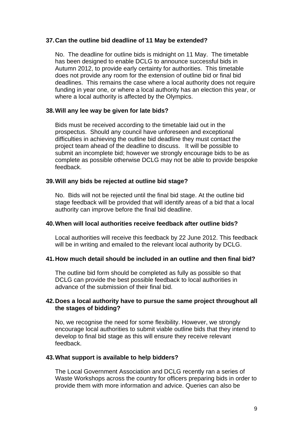# **37. Can the outline bid deadline of 11 May be extended?**

No. The deadline for outline bids is midnight on 11 May. The timetable has been designed to enable DCLG to announce successful bids in Autumn 2012, to provide early certainty for authorities. This timetable does not provide any room for the extension of outline bid or final bid deadlines. This remains the case where a local authority does not require funding in year one, or where a local authority has an election this year, or where a local authority is affected by the Olympics.

## **38. Will any lee way be given for late bids?**

Bids must be received according to the timetable laid out in the prospectus. Should any council have unforeseen and exceptional difficulties in achieving the outline bid deadline they must contact the project team ahead of the deadline to discuss. It will be possible to submit an incomplete bid; however we strongly encourage bids to be as complete as possible otherwise DCLG may not be able to provide bespoke feedback.

# **39. Will any bids be rejected at outline bid stage?**

No. Bids will not be rejected until the final bid stage. At the outline bid stage feedback will be provided that will identify areas of a bid that a local authority can improve before the final bid deadline.

# **40. When will local authorities receive feedback after outline bids?**

Local authorities will receive this feedback by 22 June 2012. This feedback will be in writing and emailed to the relevant local authority by DCLG.

# **41. How much detail should be included in an outline and then final bid?**

The outline bid form should be completed as fully as possible so that DCLG can provide the best possible feedback to local authorities in advance of the submission of their final bid.

## **42. Does a local authority have to pursue the same project throughout all the stages of bidding?**

No, we recognise the need for some flexibility. However, we strongly encourage local authorities to submit viable outline bids that they intend to develop to final bid stage as this will ensure they receive relevant feedback.

# **43. What support is available to help bidders?**

The Local Government Association and DCLG recently ran a series of Waste Workshops across the country for officers preparing bids in order to provide them with more information and advice. Queries can also be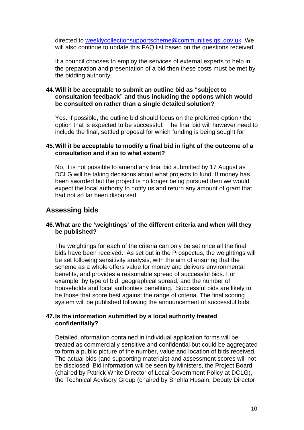directed to [weeklycollectionsupportscheme@communities.gsi.gov.uk.](mailto:weeklycollectionsupportscheme@communities.gsi.gov.uk) We will also continue to update this FAQ list based on the questions received.

If a council chooses to employ the services of external experts to help in the preparation and presentation of a bid then these costs must be met by the bidding authority.

# **44. Will it be acceptable to submit an outline bid as "subject to consultation feedback" and thus including the options which would be consulted on rather than a single detailed solution?**

Yes. If possible, the outline bid should focus on the preferred option / the option that is expected to be successful. The final bid will however need to include the final, settled proposal for which funding is being sought for.

## **45. Will it be acceptable to modify a final bid in light of the outcome of a consultation and if so to what extent?**

No, it is not possible to amend any final bid submitted by 17 August as DCLG will be taking decisions about what projects to fund. If money has been awarded but the project is no longer being pursued then we would expect the local authority to notify us and return any amount of grant that had not so far been disbursed.

# **Assessing bids**

## **46. What are the 'weightings' of the different criteria and when will they be published?**

The weightings for each of the criteria can only be set once all the final bids have been received. As set out in the Prospectus, the weightings will be set following sensitivity analysis, with the aim of ensuring that the scheme as a whole offers value for money and delivers environmental benefits, and provides a reasonable spread of successful bids. For example, by type of bid, geographical spread, and the number of households and local authorities benefiting. Successful bids are likely to be those that score best against the range of criteria. The final scoring system will be published following the announcement of successful bids.

## **47. Is the information submitted by a local authority treated confidentially?**

Detailed information contained in individual application forms will be treated as commercially sensitive and confidential but could be aggregated to form a public picture of the number, value and location of bids received. The actual bids (and supporting materials) and assessment scores will not be disclosed. Bid information will be seen by Ministers, the Project Board (chaired by Patrick White Director of Local Government Policy at DCLG), the Technical Advisory Group (chaired by Shehla Husain, Deputy Director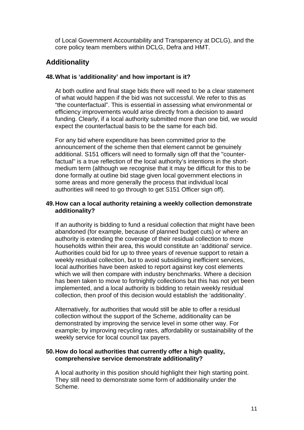of Local Government Accountability and Transparency at DCLG), and the core policy team members within DCLG, Defra and HMT.

# **Additionality**

# **48. What is 'additionality' and how important is it?**

At both outline and final stage bids there will need to be a clear statement of what would happen if the bid was not successful. We refer to this as "the counterfactual". This is essential in assessing what environmental or efficiency improvements would arise directly from a decision to award funding. Clearly, if a local authority submitted more than one bid, we would expect the counterfactual basis to be the same for each bid.

For any bid where expenditure has been committed prior to the announcement of the scheme then that element cannot be genuinely additional. S151 officers will need to formally sign off that the "counterfactual" is a true reflection of the local authority's intentions in the shortmedium term (although we recognise that it may be difficult for this to be done formally at outline bid stage given local government elections in some areas and more generally the process that individual local authorities will need to go through to get S151 Officer sign off).

# **49. How can a local authority retaining a weekly collection demonstrate additionality?**

If an authority is bidding to fund a residual collection that might have been abandoned (for example, because of planned budget cuts) or where an authority is extending the coverage of their residual collection to more households within their area, this would constitute an 'additional' service. Authorities could bid for up to three years of revenue support to retain a weekly residual collection, but to avoid subsidising inefficient services, local authorities have been asked to report against key cost elements which we will then compare with industry benchmarks. Where a decision has been taken to move to fortnightly collections but this has not yet been implemented, and a local authority is bidding to retain weekly residual collection, then proof of this decision would establish the 'additionality'.

Alternatively, for authorities that would still be able to offer a residual collection without the support of the Scheme, additionality can be demonstrated by improving the service level in some other way. For example; by improving recycling rates, affordability or sustainability of the weekly service for local council tax payers.

## **50. How do local authorities that currently offer a high quality, comprehensive service demonstrate additionality?**

A local authority in this position should highlight their high starting point. They still need to demonstrate some form of additionality under the Scheme.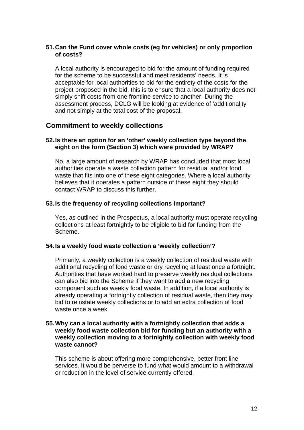# **51. Can the Fund cover whole costs (eg for vehicles) or only proportion of costs?**

A local authority is encouraged to bid for the amount of funding required for the scheme to be successful and meet residents' needs. It is acceptable for local authorities to bid for the entirety of the costs for the project proposed in the bid, this is to ensure that a local authority does not simply shift costs from one frontline service to another. During the assessment process, DCLG will be looking at evidence of 'additionality' and not simply at the total cost of the proposal.

# **Commitment to weekly collections**

# **52. Is there an option for an 'other' weekly collection type beyond the eight on the form (Section 3) which were provided by WRAP?**

No, a large amount of research by WRAP has concluded that most local authorities operate a waste collection pattern for residual and/or food waste that fits into one of these eight categories. Where a local authority believes that it operates a pattern outside of these eight they should contact WRAP to discuss this further.

# **53. Is the frequency of recycling collections important?**

Yes, as outlined in the Prospectus, a local authority must operate recycling collections at least fortnightly to be eligible to bid for funding from the Scheme.

# **54. Is a weekly food waste collection a 'weekly collection'?**

Primarily, a weekly collection is a weekly collection of residual waste with additional recycling of food waste or dry recycling at least once a fortnight. Authorities that have worked hard to preserve weekly residual collections can also bid into the Scheme if they want to add a new recycling component such as weekly food waste. In addition, if a local authority is already operating a fortnightly collection of residual waste, then they may bid to reinstate weekly collections or to add an extra collection of food waste once a week.

## **55. Why can a local authority with a fortnightly collection that adds a weekly food waste collection bid for funding but an authority with a weekly collection moving to a fortnightly collection with weekly food waste cannot?**

This scheme is about offering more comprehensive, better front line services. It would be perverse to fund what would amount to a withdrawal or reduction in the level of service currently offered.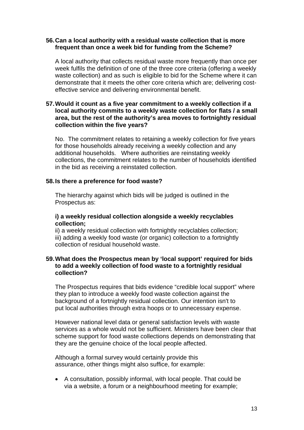# **56. Can a local authority with a residual waste collection that is more frequent than once a week bid for funding from the Scheme?**

A local authority that collects residual waste more frequently than once per week fulfils the definition of one of the three core criteria (offering a weekly waste collection) and as such is eligible to bid for the Scheme where it can demonstrate that it meets the other core criteria which are; delivering costeffective service and delivering environmental benefit.

# **57. Would it count as a five year commitment to a weekly collection if a local authority commits to a weekly waste collection for flats / a small area, but the rest of the authority's area moves to fortnightly residual collection within the five years?**

No. The commitment relates to retaining a weekly collection for five years for those households already receiving a weekly collection and any additional households. Where authorities are reinstating weekly collections, the commitment relates to the number of households identified in the bid as receiving a reinstated collection.

# **58. Is there a preference for food waste?**

The hierarchy against which bids will be judged is outlined in the Prospectus as:

# **i) a weekly residual collection alongside a weekly recyclables collection;**

ii) a weekly residual collection with fortnightly recyclables collection; iii) adding a weekly food waste (or organic) collection to a fortnightly collection of residual household waste.

# **59. What does the Prospectus mean by 'local support' required for bids to add a weekly collection of food waste to a fortnightly residual collection?**

The Prospectus requires that bids evidence "credible local support" where they plan to introduce a weekly food waste collection against the background of a fortnightly residual collection. Our intention isn't to put local authorities through extra hoops or to unnecessary expense.

However national level data or general satisfaction levels with waste services as a whole would not be sufficient. Ministers have been clear that scheme support for food waste collections depends on demonstrating that they are the genuine choice of the local people affected.

Although a formal survey would certainly provide this assurance, other things might also suffice, for example:

• A consultation, possibly informal, with local people. That could be via a website, a forum or a neighbourhood meeting for example;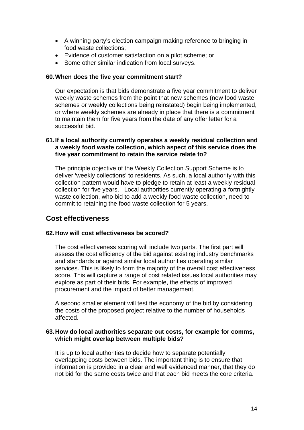- A winning party's election campaign making reference to bringing in food waste collections;
- Evidence of customer satisfaction on a pilot scheme; or
- Some other similar indication from local surveys.

#### **60. When does the five year commitment start?**

Our expectation is that bids demonstrate a five year commitment to deliver weekly waste schemes from the point that new schemes (new food waste schemes or weekly collections being reinstated) begin being implemented, or where weekly schemes are already in place that there is a commitment to maintain them for five years from the date of any offer letter for a successful bid.

# **61. If a local authority currently operates a weekly residual collection and a weekly food waste collection, which aspect of this service does the five year commitment to retain the service relate to?**

The principle objective of the Weekly Collection Support Scheme is to deliver 'weekly collections' to residents. As such, a local authority with this collection pattern would have to pledge to retain at least a weekly residual collection for five years. Local authorities currently operating a fortnightly waste collection, who bid to add a weekly food waste collection, need to commit to retaining the food waste collection for 5 years.

# **Cost effectiveness**

# **62. How will cost effectiveness be scored?**

The cost effectiveness scoring will include two parts. The first part will assess the cost efficiency of the bid against existing industry benchmarks and standards or against similar local authorities operating similar services. This is likely to form the majority of the overall cost effectiveness score. This will capture a range of cost related issues local authorities may explore as part of their bids. For example, the effects of improved procurement and the impact of better management.

A second smaller element will test the economy of the bid by considering the costs of the proposed project relative to the number of households affected.

#### **63. How do local authorities separate out costs, for example for comms, which might overlap between multiple bids?**

It is up to local authorities to decide how to separate potentially overlapping costs between bids. The important thing is to ensure that information is provided in a clear and well evidenced manner, that they do not bid for the same costs twice and that each bid meets the core criteria.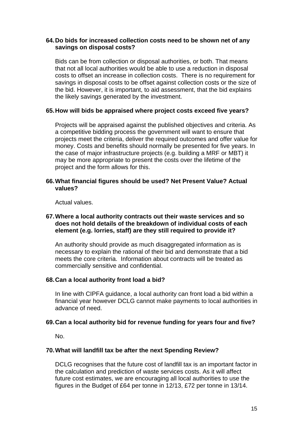# **64. Do bids for increased collection costs need to be shown net of any savings on disposal costs?**

Bids can be from collection or disposal authorities, or both. That means that not all local authorities would be able to use a reduction in disposal costs to offset an increase in collection costs. There is no requirement for savings in disposal costs to be offset against collection costs or the size of the bid. However, it is important, to aid assessment, that the bid explains the likely savings generated by the investment.

## **65. How will bids be appraised where project costs exceed five years?**

Projects will be appraised against the published objectives and criteria. As a competitive bidding process the government will want to ensure that projects meet the criteria, deliver the required outcomes and offer value for money. Costs and benefits should normally be presented for five years. In the case of major infrastructure projects (e.g. building a MRF or MBT) it may be more appropriate to present the costs over the lifetime of the project and the form allows for this.

## **66. What financial figures should be used? Net Present Value? Actual values?**

Actual values.

# **67. Where a local authority contracts out their waste services and so does not hold details of the breakdown of individual costs of each element (e.g. lorries, staff) are they still required to provide it?**

An authority should provide as much disaggregated information as is necessary to explain the rational of their bid and demonstrate that a bid meets the core criteria. Information about contracts will be treated as commercially sensitive and confidential.

# **68. Can a local authority front load a bid?**

In line with CIPFA guidance, a local authority can front load a bid within a financial year however DCLG cannot make payments to local authorities in advance of need.

#### **69. Can a local authority bid for revenue funding for years four and five?**

No.

# **70. What will landfill tax be after the next Spending Review?**

DCLG recognises that the future cost of landfill tax is an important factor in the calculation and prediction of waste services costs. As it will affect future cost estimates, we are encouraging all local authorities to use the figures in the Budget of £64 per tonne in 12/13, £72 per tonne in 13/14.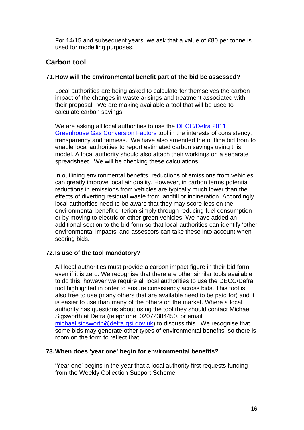For 14/15 and subsequent years, we ask that a value of £80 per tonne is used for modelling purposes.

# **Carbon tool**

# **71. How will the environmental benefit part of the bid be assessed?**

Local authorities are being asked to calculate for themselves the carbon impact of the changes in waste arisings and treatment associated with their proposal. We are making available a tool that will be used to calculate carbon savings.

We are asking all local authorities to use the [DECC/Defra 2011](http://archive.defra.gov.uk/environment/business/reporting/pdf/110819-guidelines-ghg-conversion-factors.xls)  [Greenhouse Gas Conversion Factors](http://archive.defra.gov.uk/environment/business/reporting/pdf/110819-guidelines-ghg-conversion-factors.xls) tool in the interests of consistency, transparency and fairness. We have also amended the outline bid from to enable local authorities to report estimated carbon savings using this model. A local authority should also attach their workings on a separate spreadsheet. We will be checking these calculations.

In outlining environmental benefits, reductions of emissions from vehicles can greatly improve local air quality. However, in carbon terms potential reductions in emissions from vehicles are typically much lower than the effects of diverting residual waste from landfill or incineration. Accordingly, local authorities need to be aware that they may score less on the environmental benefit criterion simply through reducing fuel consumption or by moving to electric or other green vehicles. We have added an additional section to the bid form so that local authorities can identify 'other environmental impacts' and assessors can take these into account when scoring bids.

# **72. Is use of the tool mandatory?**

All local authorities must provide a carbon impact figure in their bid form, even if it is zero. We recognise that there are other similar tools available to do this, however we require all local authorities to use the DECC/Defra tool highlighted in order to ensure consistency across bids. This tool is also free to use (many others that are available need to be paid for) and it is easier to use than many of the others on the market. Where a local authority has questions about using the tool they should contact Michael Sigsworth at Defra (telephone: 02072384450, or email [michael.sigsworth@defra.gsi.gov.uk](mailto:michael.sigsworth@defra.gsi.gov.uk)) to discuss this. We recognise that some bids may generate other types of environmental benefits, so there is room on the form to reflect that.

# **73. When does 'year one' begin for environmental benefits?**

'Year one' begins in the year that a local authority first requests funding from the Weekly Collection Support Scheme.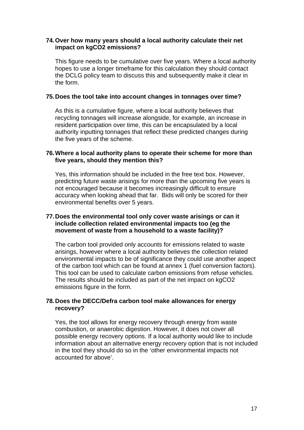# **74. Over how many years should a local authority calculate their net impact on kgCO2 emissions?**

This figure needs to be cumulative over five years. Where a local authority hopes to use a longer timeframe for this calculation they should contact the DCLG policy team to discuss this and subsequently make it clear in the form.

## **75. Does the tool take into account changes in tonnages over time?**

As this is a cumulative figure, where a local authority believes that recycling tonnages will increase alongside, for example, an increase in resident participation over time, this can be encapsulated by a local authority inputting tonnages that reflect these predicted changes during the five years of the scheme.

# **76. Where a local authority plans to operate their scheme for more than five years, should they mention this?**

Yes, this information should be included in the free text box. However, predicting future waste arisings for more than the upcoming five years is not encouraged because it becomes increasingly difficult to ensure accuracy when looking ahead that far. Bids will only be scored for their environmental benefits over 5 years.

# **77. Does the environmental tool only cover waste arisings or can it include collection related environmental impacts too (eg the movement of waste from a household to a waste facility)?**

The carbon tool provided only accounts for emissions related to waste arisings, however where a local authority believes the collection related environmental impacts to be of significance they could use another aspect of the carbon tool which can be found at annex 1 (fuel conversion factors). This tool can be used to calculate carbon emissions from refuse vehicles. The results should be included as part of the net impact on kgCO2 emissions figure in the form.

# **78. Does the DECC/Defra carbon tool make allowances for energy recovery?**

Yes, the tool allows for energy recovery through energy from waste combustion, or anaerobic digestion. However, it does not cover all possible energy recovery options. If a local authority would like to include information about an alternative energy recovery option that is not included in the tool they should do so in the 'other environmental impacts not accounted for above'.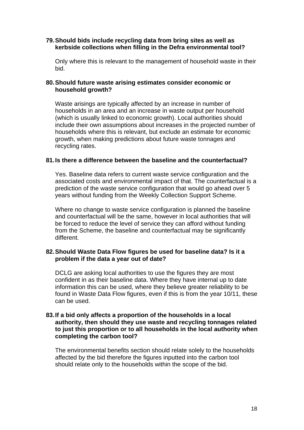# **79. Should bids include recycling data from bring sites as well as kerbside collections when filling in the Defra environmental tool?**

Only where this is relevant to the management of household waste in their bid.

# **80. Should future waste arising estimates consider economic or household growth?**

Waste arisings are typically affected by an increase in number of households in an area and an increase in waste output per household (which is usually linked to economic growth). Local authorities should include their own assumptions about increases in the projected number of households where this is relevant, but exclude an estimate for economic growth, when making predictions about future waste tonnages and recycling rates.

# **81. Is there a difference between the baseline and the counterfactual?**

Yes. Baseline data refers to current waste service configuration and the associated costs and environmental impact of that. The counterfactual is a prediction of the waste service configuration that would go ahead over 5 years without funding from the Weekly Collection Support Scheme.

Where no change to waste service configuration is planned the baseline and counterfactual will be the same, however in local authorities that will be forced to reduce the level of service they can afford without funding from the Scheme, the baseline and counterfactual may be significantly different.

## **82. Should Waste Data Flow figures be used for baseline data? Is it a problem if the data a year out of date?**

DCLG are asking local authorities to use the figures they are most confident in as their baseline data. Where they have internal up to date information this can be used, where they believe greater reliability to be found in Waste Data Flow figures, even if this is from the year 10/11, these can be used.

## **83. If a bid only affects a proportion of the households in a local authority, then should they use waste and recycling tonnages related to just this proportion or to all households in the local authority when completing the carbon tool?**

The environmental benefits section should relate solely to the households affected by the bid therefore the figures inputted into the carbon tool should relate only to the households within the scope of the bid.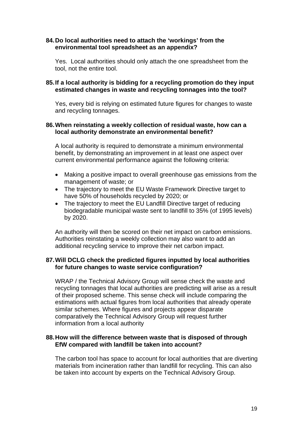# **84. Do local authorities need to attach the 'workings' from the environmental tool spreadsheet as an appendix?**

Yes. Local authorities should only attach the one spreadsheet from the tool, not the entire tool.

# **85. If a local authority is bidding for a recycling promotion do they input estimated changes in waste and recycling tonnages into the tool?**

Yes, every bid is relying on estimated future figures for changes to waste and recycling tonnages.

## **86. When reinstating a weekly collection of residual waste, how can a local authority demonstrate an environmental benefit?**

A local authority is required to demonstrate a minimum environmental benefit, by demonstrating an improvement in at least one aspect over current environmental performance against the following criteria:

- Making a positive impact to overall greenhouse gas emissions from the management of waste; or
- The trajectory to meet the EU Waste Framework Directive target to have 50% of households recycled by 2020; or
- The trajectory to meet the EU Landfill Directive target of reducing biodegradable municipal waste sent to landfill to 35% (of 1995 levels) by 2020.

An authority will then be scored on their net impact on carbon emissions. Authorities reinstating a weekly collection may also want to add an additional recycling service to improve their net carbon impact.

# **87. Will DCLG check the predicted figures inputted by local authorities for future changes to waste service configuration?**

WRAP / the Technical Advisory Group will sense check the waste and recycling tonnages that local authorities are predicting will arise as a result of their proposed scheme. This sense check will include comparing the estimations with actual figures from local authorities that already operate similar schemes. Where figures and projects appear disparate comparatively the Technical Advisory Group will request further information from a local authority

# **88. How will the difference between waste that is disposed of through EfW compared with landfill be taken into account?**

The carbon tool has space to account for local authorities that are diverting materials from incineration rather than landfill for recycling. This can also be taken into account by experts on the Technical Advisory Group.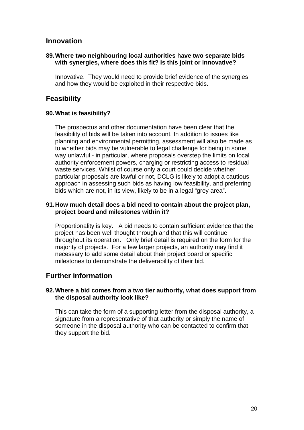# **Innovation**

# **89. Where two neighbouring local authorities have two separate bids with synergies, where does this fit? Is this joint or innovative?**

Innovative. They would need to provide brief evidence of the synergies and how they would be exploited in their respective bids.

# **Feasibility**

# **90. What is feasibility?**

The prospectus and other documentation have been clear that the feasibility of bids will be taken into account. In addition to issues like planning and environmental permitting, assessment will also be made as to whether bids may be vulnerable to legal challenge for being in some way unlawful - in particular, where proposals overstep the limits on local authority enforcement powers, charging or restricting access to residual waste services. Whilst of course only a court could decide whether particular proposals are lawful or not, DCLG is likely to adopt a cautious approach in assessing such bids as having low feasibility, and preferring bids which are not, in its view, likely to be in a legal "grey area".

# **91. How much detail does a bid need to contain about the project plan, project board and milestones within it?**

Proportionality is key. A bid needs to contain sufficient evidence that the project has been well thought through and that this will continue throughout its operation. Only brief detail is required on the form for the majority of projects. For a few larger projects, an authority may find it necessary to add some detail about their project board or specific milestones to demonstrate the deliverability of their bid.

# **Further information**

# **92. Where a bid comes from a two tier authority, what does support from the disposal authority look like?**

This can take the form of a supporting letter from the disposal authority, a signature from a representative of that authority or simply the name of someone in the disposal authority who can be contacted to confirm that they support the bid.